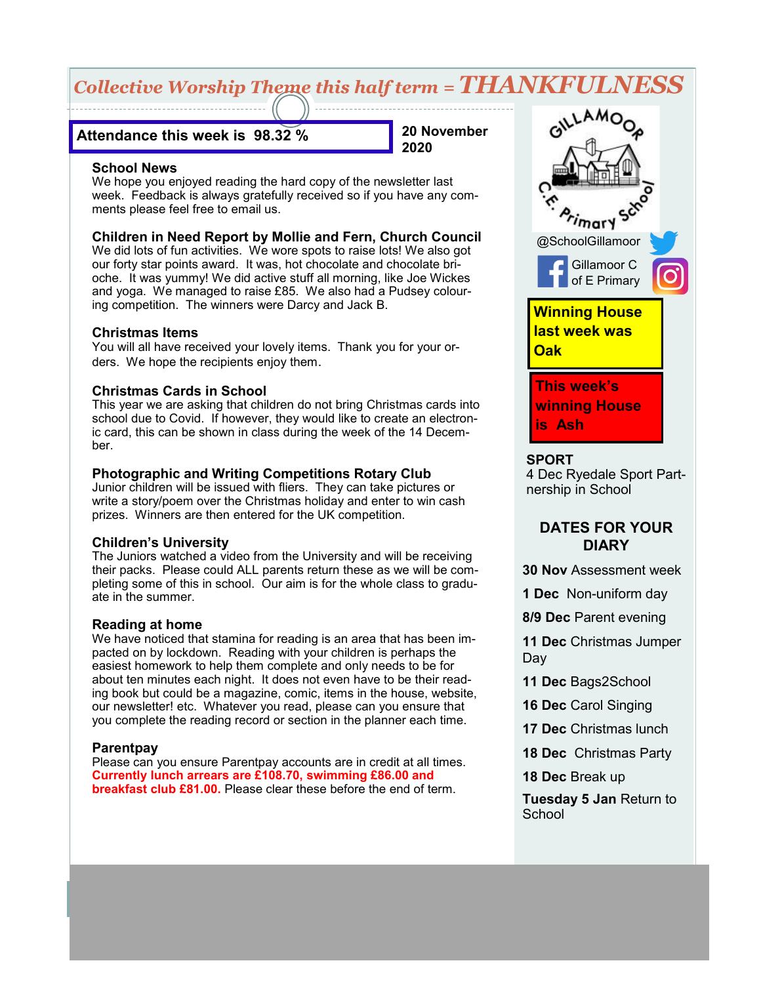# *Collective Worship Theme this half term = THANKFULNESS*

# **Attendance this week is 98.32 %**

**20 November 2020**

### **School News**

We hope you enjoyed reading the hard copy of the newsletter last week. Feedback is always gratefully received so if you have any comments please feel free to email us.

# **Children in Need Report by Mollie and Fern, Church Council**

We did lots of fun activities. We wore spots to raise lots! We also got our forty star points award. It was, hot chocolate and chocolate brioche. It was yummy! We did active stuff all morning, like Joe Wickes and yoga. We managed to raise £85. We also had a Pudsey colouring competition. The winners were Darcy and Jack B.

### **Christmas Items**

You will all have received your lovely items. Thank you for your orders. We hope the recipients enjoy them.

# **Christmas Cards in School**

This year we are asking that children do not bring Christmas cards into school due to Covid. If however, they would like to create an electronic card, this can be shown in class during the week of the 14 December.

### **Photographic and Writing Competitions Rotary Club**

Junior children will be issued with fliers. They can take pictures or write a story/poem over the Christmas holiday and enter to win cash prizes. Winners are then entered for the UK competition.

# **Children's University**

The Juniors watched a video from the University and will be receiving their packs. Please could ALL parents return these as we will be completing some of this in school. Our aim is for the whole class to graduate in the summer.

# **Reading at home**

We have noticed that stamina for reading is an area that has been impacted on by lockdown. Reading with your children is perhaps the easiest homework to help them complete and only needs to be for about ten minutes each night. It does not even have to be their reading book but could be a magazine, comic, items in the house, website, our newsletter! etc. Whatever you read, please can you ensure that you complete the reading record or section in the planner each time.

# **Parentpay**

Please can you ensure Parentpay accounts are in credit at all times. **Currently lunch arrears are £108.70, swimming £86.00 and breakfast club £81.00.** Please clear these before the end of term.



#### **SPORT**

4 Dec Ryedale Sport Partnership in School

# **DATES FOR YOUR DIARY**

**30 Nov** Assessment week

**1 Dec** Non-uniform day

**8/9 Dec** Parent evening

**11 Dec** Christmas Jumper Day

- **11 Dec** Bags2School
- **16 Dec** Carol Singing
- **17 Dec** Christmas lunch
- **18 Dec** Christmas Party
- **18 Dec** Break up

**Tuesday 5 Jan** Return to **School**